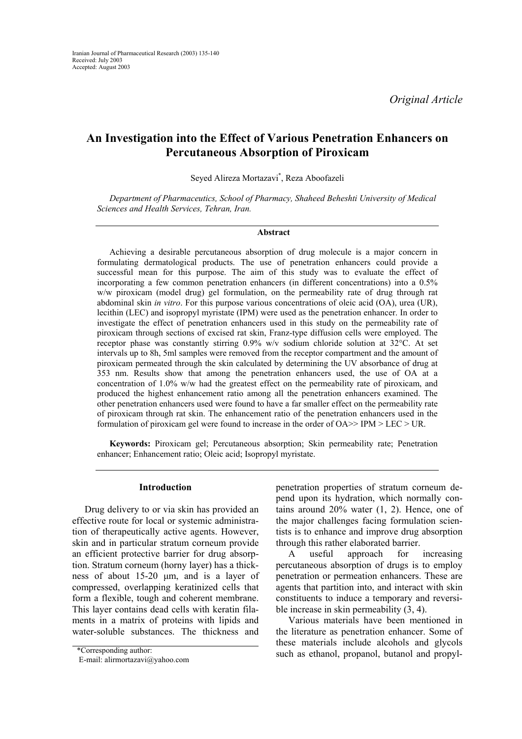*Original Article* 

# **An Investigation into the Effect of Various Penetration Enhancers on Percutaneous Absorption of Piroxicam**

Seyed Alireza Mortazavi\* , Reza Aboofazeli

*Department of Pharmaceutics, School of Pharmacy, Shaheed Beheshti University of Medical Sciences and Health Services, Tehran, Iran.* 

### **Abstract**

Achieving a desirable percutaneous absorption of drug molecule is a major concern in formulating dermatological products. The use of penetration enhancers could provide a successful mean for this purpose. The aim of this study was to evaluate the effect of incorporating a few common penetration enhancers (in different concentrations) into a 0.5% w/w piroxicam (model drug) gel formulation, on the permeability rate of drug through rat abdominal skin *in vitro*. For this purpose various concentrations of oleic acid (OA), urea (UR), lecithin (LEC) and isopropyl myristate (IPM) were used as the penetration enhancer. In order to investigate the effect of penetration enhancers used in this study on the permeability rate of piroxicam through sections of excised rat skin, Franz-type diffusion cells were employed. The receptor phase was constantly stirring 0.9% w/v sodium chloride solution at 32°C. At set intervals up to 8h, 5ml samples were removed from the receptor compartment and the amount of piroxicam permeated through the skin calculated by determining the UV absorbance of drug at 353 nm. Results show that among the penetration enhancers used, the use of OA at a concentration of 1.0% w/w had the greatest effect on the permeability rate of piroxicam, and produced the highest enhancement ratio among all the penetration enhancers examined. The other penetration enhancers used were found to have a far smaller effect on the permeability rate of piroxicam through rat skin. The enhancement ratio of the penetration enhancers used in the formulation of piroxicam gel were found to increase in the order of  $OA \geq P M \geq LEC \geq UR$ .

**Keywords:** Piroxicam gel; Percutaneous absorption; Skin permeability rate; Penetration enhancer; Enhancement ratio; Oleic acid; Isopropyl myristate.

## **Introduction**

Drug delivery to or via skin has provided an effective route for local or systemic administration of therapeutically active agents. However, skin and in particular stratum corneum provide an efficient protective barrier for drug absorption. Stratum corneum (horny layer) has a thickness of about 15-20 µm, and is a layer of compressed, overlapping keratinized cells that form a flexible, tough and coherent membrane. This layer contains dead cells with keratin filaments in a matrix of proteins with lipids and water-soluble substances. The thickness and

penetration properties of stratum corneum depend upon its hydration, which normally contains around 20% water (1, 2). Hence, one of the major challenges facing formulation scientists is to enhance and improve drug absorption through this rather elaborated barrier.

A useful approach for increasing percutaneous absorption of drugs is to employ penetration or permeation enhancers. These are agents that partition into, and interact with skin constituents to induce a temporary and reversible increase in skin permeability (3, 4).

Various materials have been mentioned in the literature as penetration enhancer. Some of these materials include alcohols and glycols \*Corresponding author:<br>such as ethanol, propanol, butanol and propyl-

E-mail: alirmortazavi@yahoo.com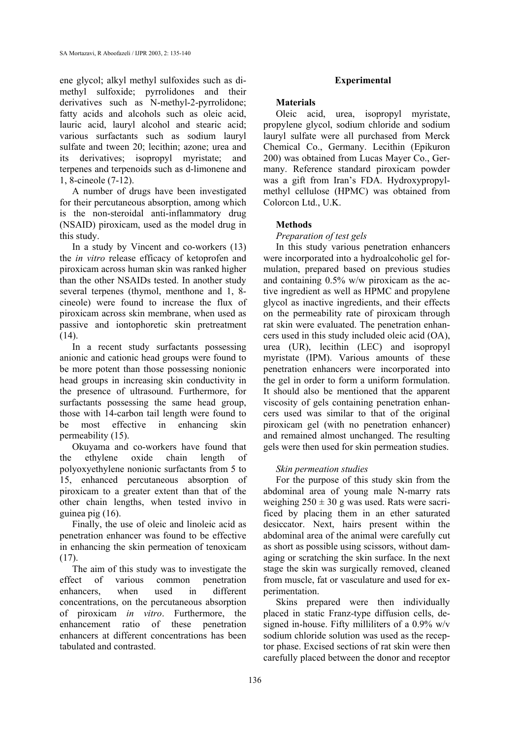ene glycol; alkyl methyl sulfoxides such as dimethyl sulfoxide; pyrrolidones and their derivatives such as N-methyl-2-pyrrolidone; fatty acids and alcohols such as oleic acid, lauric acid, lauryl alcohol and stearic acid; various surfactants such as sodium lauryl sulfate and tween 20; lecithin; azone; urea and its derivatives; isopropyl myristate; and terpenes and terpenoids such as d-limonene and 1, 8-cineole (7-12).

A number of drugs have been investigated for their percutaneous absorption, among which is the non-steroidal anti-inflammatory drug (NSAID) piroxicam, used as the model drug in this study.

In a study by Vincent and co-workers (13) the *in vitro* release efficacy of ketoprofen and piroxicam across human skin was ranked higher than the other NSAIDs tested. In another study several terpenes (thymol, menthone and 1, 8 cineole) were found to increase the flux of piroxicam across skin membrane, when used as passive and iontophoretic skin pretreatment  $(14)$ .

In a recent study surfactants possessing anionic and cationic head groups were found to be more potent than those possessing nonionic head groups in increasing skin conductivity in the presence of ultrasound. Furthermore, for surfactants possessing the same head group, those with 14-carbon tail length were found to be most effective in enhancing skin permeability (15).

Okuyama and co-workers have found that the ethylene oxide chain length of polyoxyethylene nonionic surfactants from 5 to 15, enhanced percutaneous absorption of piroxicam to a greater extent than that of the other chain lengths, when tested invivo in guinea pig (16).

Finally, the use of oleic and linoleic acid as penetration enhancer was found to be effective in enhancing the skin permeation of tenoxicam (17).

The aim of this study was to investigate the effect of various common penetration enhancers, when used in different concentrations, on the percutaneous absorption of piroxicam *in vitro*. Furthermore, the enhancement ratio of these penetration enhancers at different concentrations has been tabulated and contrasted.

# **Experimental**

### **Materials**

Oleic acid, urea, isopropyl myristate, propylene glycol, sodium chloride and sodium lauryl sulfate were all purchased from Merck Chemical Co., Germany. Lecithin (Epikuron 200) was obtained from Lucas Mayer Co., Germany. Reference standard piroxicam powder was a gift from Iran's FDA. Hydroxypropylmethyl cellulose (HPMC) was obtained from Colorcon Ltd., U.K.

# **Methods**

# *Preparation of test gels*

In this study various penetration enhancers were incorporated into a hydroalcoholic gel formulation, prepared based on previous studies and containing 0.5% w/w piroxicam as the active ingredient as well as HPMC and propylene glycol as inactive ingredients, and their effects on the permeability rate of piroxicam through rat skin were evaluated. The penetration enhancers used in this study included oleic acid (OA), urea (UR), lecithin (LEC) and isopropyl myristate (IPM). Various amounts of these penetration enhancers were incorporated into the gel in order to form a uniform formulation. It should also be mentioned that the apparent viscosity of gels containing penetration enhancers used was similar to that of the original piroxicam gel (with no penetration enhancer) and remained almost unchanged. The resulting gels were then used for skin permeation studies.

## *Skin permeation studies*

For the purpose of this study skin from the abdominal area of young male N-marry rats weighing  $250 \pm 30$  g was used. Rats were sacrificed by placing them in an ether saturated desiccator. Next, hairs present within the abdominal area of the animal were carefully cut as short as possible using scissors, without damaging or scratching the skin surface. In the next stage the skin was surgically removed, cleaned from muscle, fat or vasculature and used for experimentation.

Skins prepared were then individually placed in static Franz-type diffusion cells, designed in-house. Fifty milliliters of a 0.9% w/v sodium chloride solution was used as the receptor phase. Excised sections of rat skin were then carefully placed between the donor and receptor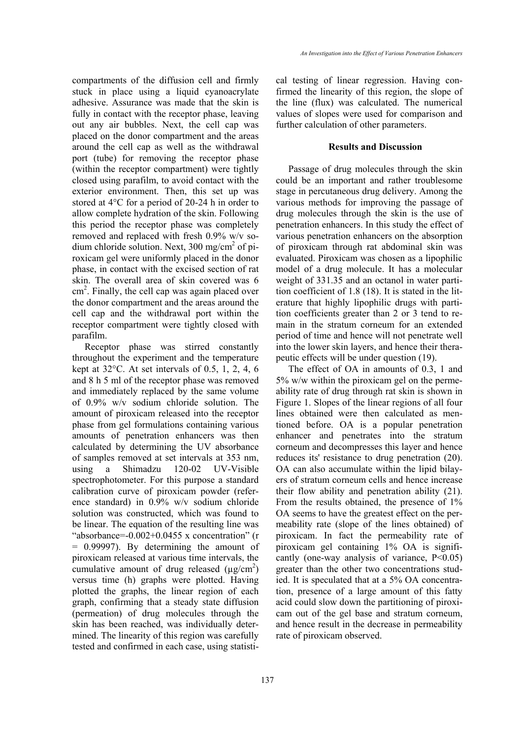compartments of the diffusion cell and firmly stuck in place using a liquid cyanoacrylate adhesive. Assurance was made that the skin is fully in contact with the receptor phase, leaving out any air bubbles. Next, the cell cap was placed on the donor compartment and the areas around the cell cap as well as the withdrawal port (tube) for removing the receptor phase (within the receptor compartment) were tightly closed using parafilm, to avoid contact with the exterior environment. Then, this set up was stored at 4°C for a period of 20-24 h in order to allow complete hydration of the skin. Following this period the receptor phase was completely removed and replaced with fresh 0.9% w/v sodium chloride solution. Next, 300 mg/cm<sup>2</sup> of piroxicam gel were uniformly placed in the donor phase, in contact with the excised section of rat skin. The overall area of skin covered was 6  $\text{cm}^2$ . Finally, the cell cap was again placed over the donor compartment and the areas around the cell cap and the withdrawal port within the receptor compartment were tightly closed with parafilm.

Receptor phase was stirred constantly throughout the experiment and the temperature kept at 32°C. At set intervals of 0.5, 1, 2, 4, 6 and 8 h 5 ml of the receptor phase was removed and immediately replaced by the same volume of 0.9% w/v sodium chloride solution. The amount of piroxicam released into the receptor phase from gel formulations containing various amounts of penetration enhancers was then calculated by determining the UV absorbance of samples removed at set intervals at 353 nm, using a Shimadzu 120-02 UV-Visible spectrophotometer. For this purpose a standard calibration curve of piroxicam powder (reference standard) in 0.9% w/v sodium chloride solution was constructed, which was found to be linear. The equation of the resulting line was "absorbance=-0.002+0.0455 x concentration" (r = 0.99997). By determining the amount of piroxicam released at various time intervals, the cumulative amount of drug released  $(\mu g/cm^2)$ versus time (h) graphs were plotted. Having plotted the graphs, the linear region of each graph, confirming that a steady state diffusion (permeation) of drug molecules through the skin has been reached, was individually determined. The linearity of this region was carefully tested and confirmed in each case, using statistical testing of linear regression. Having confirmed the linearity of this region, the slope of the line (flux) was calculated. The numerical values of slopes were used for comparison and further calculation of other parameters.

### **Results and Discussion**

Passage of drug molecules through the skin could be an important and rather troublesome stage in percutaneous drug delivery. Among the various methods for improving the passage of drug molecules through the skin is the use of penetration enhancers. In this study the effect of various penetration enhancers on the absorption of piroxicam through rat abdominal skin was evaluated. Piroxicam was chosen as a lipophilic model of a drug molecule. It has a molecular weight of 331.35 and an octanol in water partition coefficient of 1.8 (18). It is stated in the literature that highly lipophilic drugs with partition coefficients greater than 2 or 3 tend to remain in the stratum corneum for an extended period of time and hence will not penetrate well into the lower skin layers, and hence their therapeutic effects will be under question (19).

The effect of OA in amounts of 0.3, 1 and 5% w/w within the piroxicam gel on the permeability rate of drug through rat skin is shown in Figure 1. Slopes of the linear regions of all four lines obtained were then calculated as mentioned before. OA is a popular penetration enhancer and penetrates into the stratum corneum and decompresses this layer and hence reduces its' resistance to drug penetration (20). OA can also accumulate within the lipid bilayers of stratum corneum cells and hence increase their flow ability and penetration ability (21). From the results obtained, the presence of 1% OA seems to have the greatest effect on the permeability rate (slope of the lines obtained) of piroxicam. In fact the permeability rate of piroxicam gel containing 1% OA is significantly (one-way analysis of variance,  $P<0.05$ ) greater than the other two concentrations studied. It is speculated that at a 5% OA concentration, presence of a large amount of this fatty acid could slow down the partitioning of piroxicam out of the gel base and stratum corneum, and hence result in the decrease in permeability rate of piroxicam observed.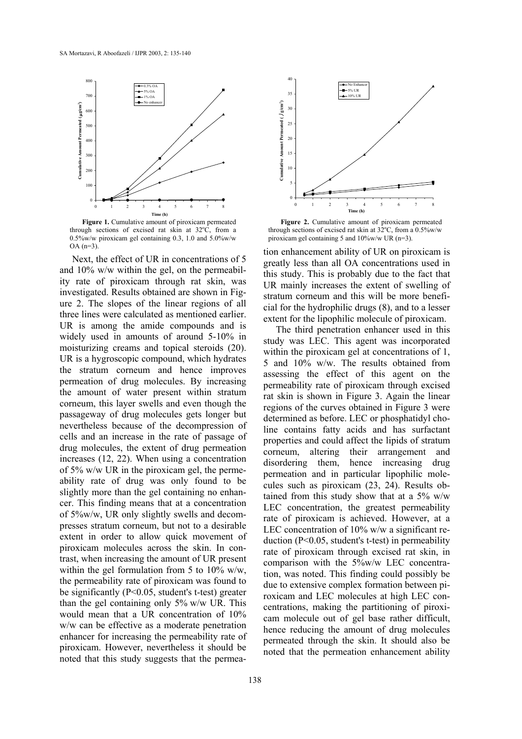

Figure 1. Cumulative amount of piroxicam permeated through sections of excised rat skin at  $32^{\circ}\text{C}$ , from a 0.5%w/w piroxicam gel containing 0.3, 1.0 and 5.0%w/w  $OA (n=3)$ 

Next, the effect of UR in concentrations of 5 and 10% w/w within the gel, on the permeability rate of piroxicam through rat skin, was investigated. Results obtained are shown in Figure 2. The slopes of the linear regions of all three lines were calculated as mentioned earlier. UR is among the amide compounds and is widely used in amounts of around 5-10% in moisturizing creams and topical steroids (20). UR is a hygroscopic compound, which hydrates the stratum corneum and hence improves permeation of drug molecules. By increasing the amount of water present within stratum corneum, this layer swells and even though the passageway of drug molecules gets longer but nevertheless because of the decompression of cells and an increase in the rate of passage of drug molecules, the extent of drug permeation increases (12, 22). When using a concentration of 5% w/w UR in the piroxicam gel, the permeability rate of drug was only found to be slightly more than the gel containing no enhancer. This finding means that at a concentration of 5%w/w, UR only slightly swells and decompresses stratum corneum, but not to a desirable extent in order to allow quick movement of piroxicam molecules across the skin. In contrast, when increasing the amount of UR present within the gel formulation from 5 to  $10\%$  w/w, the permeability rate of piroxicam was found to be significantly (P<0.05, student's t-test) greater than the gel containing only 5% w/w UR. This would mean that a UR concentration of 10% w/w can be effective as a moderate penetration enhancer for increasing the permeability rate of piroxicam. However, nevertheless it should be noted that this study suggests that the permea-



Figure 2. Cumulative amount of piroxicam permeated through sections of excised rat skin at  $32^{\circ}$ C, from a 0.5%w/w piroxicam gel containing 5 and 10%w/w UR (n=3).

tion enhancement ability of UR on piroxicam is greatly less than all OA concentrations used in this study. This is probably due to the fact that UR mainly increases the extent of swelling of stratum corneum and this will be more beneficial for the hydrophilic drugs (8), and to a lesser extent for the lipophilic molecule of piroxicam.

The third penetration enhancer used in this study was LEC. This agent was incorporated within the piroxicam gel at concentrations of 1. 5 and 10% w/w. The results obtained from assessing the effect of this agent on the permeability rate of piroxicam through excised rat skin is shown in Figure 3. Again the linear regions of the curves obtained in Figure 3 were determined as before. LEC or phosphatidyl choline contains fatty acids and has surfactant properties and could affect the lipids of stratum corneum, altering their arrangement and disordering them, hence increasing drug permeation and in particular lipophilic molecules such as piroxicam (23, 24). Results obtained from this study show that at a  $5\%$  w/w LEC concentration, the greatest permeability rate of piroxicam is achieved. However, at a LEC concentration of 10% w/w a significant reduction (P<0.05, student's t-test) in permeability rate of piroxicam through excised rat skin, in comparison with the 5%w/w LEC concentration, was noted. This finding could possibly be due to extensive complex formation between piroxicam and LEC molecules at high LEC concentrations, making the partitioning of piroxicam molecule out of gel base rather difficult, hence reducing the amount of drug molecules permeated through the skin. It should also be noted that the permeation enhancement ability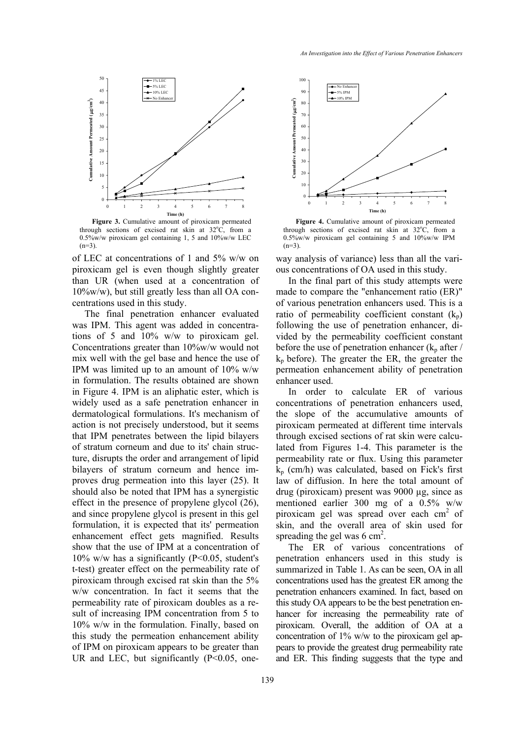

Figure 3. Cumulative amount of piroxicam permeated through sections of excised rat skin at  $32^{\circ}$ C, from a 0.5%w/w piroxicam gel containing 1, 5 and 10%w/w LEC  $(n=3)$ .

of LEC at concentrations of 1 and 5% w/w on piroxicam gel is even though slightly greater than UR (when used at a concentration of 10%w/w), but still greatly less than all OA concentrations used in this study.

The final penetration enhancer evaluated was IPM. This agent was added in concentrations of 5 and 10% w/w to piroxicam gel. Concentrations greater than 10%w/w would not mix well with the gel base and hence the use of IPM was limited up to an amount of 10% w/w in formulation. The results obtained are shown in Figure 4. IPM is an aliphatic ester, which is widely used as a safe penetration enhancer in dermatological formulations. It's mechanism of action is not precisely understood, but it seems that IPM penetrates between the lipid bilayers of stratum corneum and due to its' chain structure, disrupts the order and arrangement of lipid bilayers of stratum corneum and hence improves drug permeation into this layer (25). It should also be noted that IPM has a synergistic effect in the presence of propylene glycol (26), and since propylene glycol is present in this gel formulation, it is expected that its' permeation enhancement effect gets magnified. Results show that the use of IPM at a concentration of 10% w/w has a significantly (P<0.05, student's t-test) greater effect on the permeability rate of piroxicam through excised rat skin than the 5% w/w concentration. In fact it seems that the permeability rate of piroxicam doubles as a result of increasing IPM concentration from 5 to 10% w/w in the formulation. Finally, based on this study the permeation enhancement ability of IPM on piroxicam appears to be greater than UR and LEC, but significantly  $(P<0.05$ , one-



**Figure 4.** Cumulative amount of piroxicam permeated through sections of excised rat skin at  $32^{\circ}$ C, from a 0.5%w/w piroxicam gel containing 5 and 10%w/w IPM  $(n=3)$ .

way analysis of variance) less than all the various concentrations of OA used in this study.

In the final part of this study attempts were made to compare the "enhancement ratio (ER)" of various penetration enhancers used. This is a ratio of permeability coefficient constant  $(k_p)$ following the use of penetration enhancer, divided by the permeability coefficient constant before the use of penetration enhancer  $(k_p \text{ after } /$  $k<sub>p</sub>$  before). The greater the ER, the greater the permeation enhancement ability of penetration enhancer used.

In order to calculate ER of various concentrations of penetration enhancers used, the slope of the accumulative amounts of piroxicam permeated at different time intervals through excised sections of rat skin were calculated from Figures 1-4. This parameter is the permeability rate or flux. Using this parameter  $k_p$  (cm/h) was calculated, based on Fick's first law of diffusion. In here the total amount of drug (piroxicam) present was 9000 µg, since as mentioned earlier 300 mg of a 0.5% w/w piroxicam gel was spread over each cm<sup>2</sup> of skin, and the overall area of skin used for spreading the gel was  $6 \text{ cm}^2$ .

The ER of various concentrations of penetration enhancers used in this study is summarized in Table 1. As can be seen, OA in all concentrations used has the greatest ER among the penetration enhancers examined. In fact, based on this study OA appears to be the best penetration enhancer for increasing the permeability rate of piroxicam. Overall, the addition of OA at a concentration of 1% w/w to the piroxicam gel appears to provide the greatest drug permeability rate and ER. This finding suggests that the type and